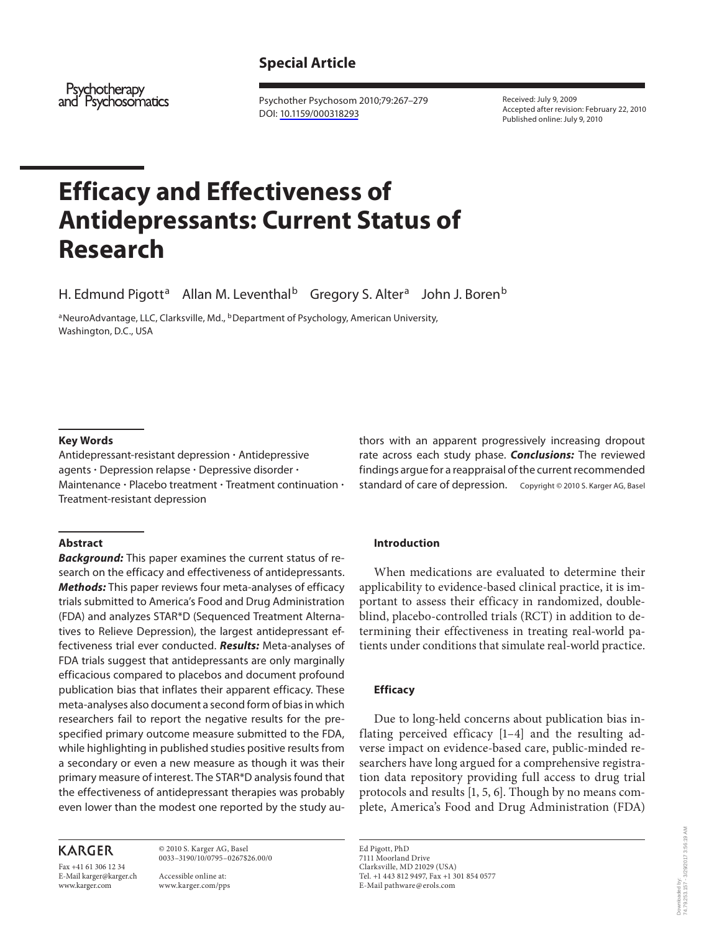# **Special Article**

Psychotherapy and Psychosomatics

 Psychother Psychosom 2010;79:267–279 DOI: [10.1159/000318293](http://dx.doi.org/10.1159%2F000318293)

 Received: July 9, 2009 Accepted after revision: February 22, 2010 Published online: July 9, 2010

# **Efficacy and Effectiveness of Antidepressants: Current Status of Research**

H. Edmund Pigott<sup>a</sup> Allan M. Leventhal<sup>b</sup> Gregory S. Alter<sup>a</sup> John J. Boren<sup>b</sup>

<sup>a</sup> NeuroAdvantage, LLC, Clarksville, Md., <sup>b</sup> Department of Psychology, American University, Washington, D.C., USA

#### **Key Words**

 Antidepressant-resistant depression - Antidepressive agents - Depression relapse - Depressive disorder - Maintenance · Placebo treatment · Treatment continuation · Treatment-resistant depression

#### **Abstract**

*Background:* This paper examines the current status of research on the efficacy and effectiveness of antidepressants. *Methods:* This paper reviews four meta-analyses of efficacy trials submitted to America's Food and Drug Administration (FDA) and analyzes STAR\*D (Sequenced Treatment Alternatives to Relieve Depression), the largest antidepressant effectiveness trial ever conducted. *Results:* Meta-analyses of FDA trials suggest that antidepressants are only marginally efficacious compared to placebos and document profound publication bias that inflates their apparent efficacy. These meta-analyses also document a second form of bias in which researchers fail to report the negative results for the prespecified primary outcome measure submitted to the FDA, while highlighting in published studies positive results from a secondary or even a new measure as though it was their primary measure of interest. The STAR \* D analysis found that the effectiveness of antidepressant therapies was probably even lower than the modest one reported by the study au-

# **KARGER**

Fax +41 61 306 12 34 E-Mail karger@karger.ch www.karger.com

 © 2010 S. Karger AG, Basel 0033–3190/10/0795–0267\$26.00/0

 Accessible online at: www.karger.com/pps thors with an apparent progressively increasing dropout rate across each study phase. *Conclusions:* The reviewed findings argue for a reappraisal of the current recommended standard of care of depression. Copyright © 2010 S. Karger AG, Basel

#### **Introduction**

 When medications are evaluated to determine their applicability to evidence-based clinical practice, it is important to assess their efficacy in randomized, doubleblind, placebo-controlled trials (RCT) in addition to determining their effectiveness in treating real-world patients under conditions that simulate real-world practice.

## **Efficacy**

 Due to long-held concerns about publication bias inflating perceived efficacy [1–4] and the resulting adverse impact on evidence-based care, public-minded researchers have long argued for a comprehensive registration data repository providing full access to drug trial protocols and results  $[1, 5, 6]$ . Though by no means complete, America's Food and Drug Administration (FDA)

 Ed Pigott, PhD 7111 Moorland Drive Clarksville, MD 21029 (USA) Tel. +1 443 812 9497, Fax +1 301 854 0577 E-Mail pathware @ erols.com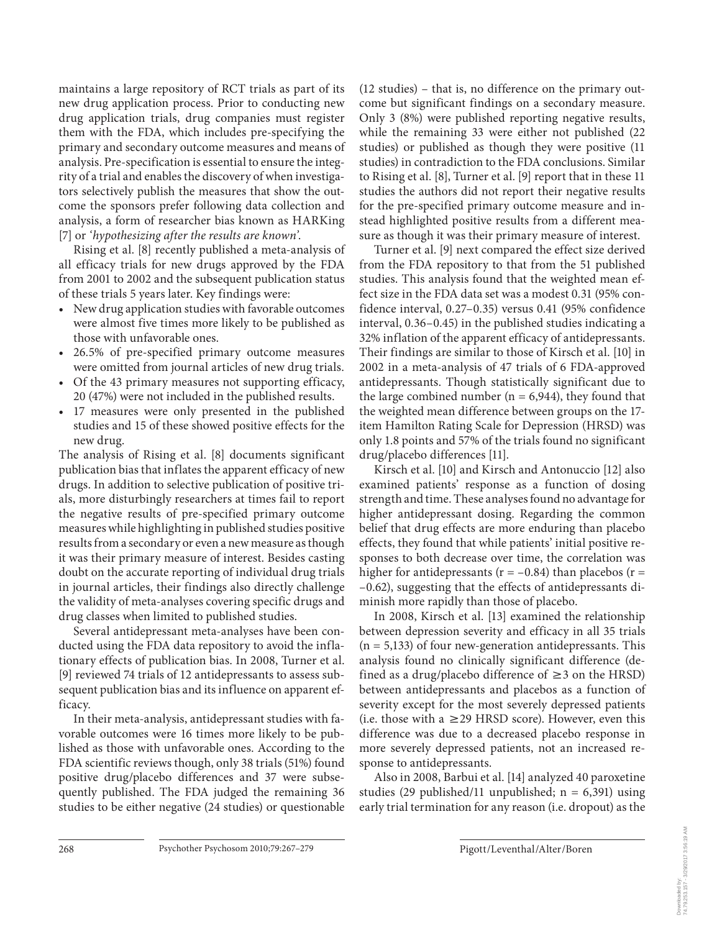maintains a large repository of RCT trials as part of its new drug application process. Prior to conducting new drug application trials, drug companies must register them with the FDA, which includes pre-specifying the primary and secondary outcome measures and means of analysis. Pre-specification is essential to ensure the integrity of a trial and enables the discovery of when investigators selectively publish the measures that show the outcome the sponsors prefer following data collection and analysis, a form of researcher bias known as HARKing [7] or *'hypothesizing after the results are known'* .

 Rising et al. [8] recently published a meta-analysis of all efficacy trials for new drugs approved by the FDA from 2001 to 2002 and the subsequent publication status of these trials 5 years later. Key findings were:

- New drug application studies with favorable outcomes were almost five times more likely to be published as those with unfavorable ones.
- 26.5% of pre-specified primary outcome measures were omitted from journal articles of new drug trials.
- Of the 43 primary measures not supporting efficacy, 20 (47%) were not included in the published results.
- 17 measures were only presented in the published studies and 15 of these showed positive effects for the new drug.

 The analysis of Rising et al. [8] documents significant publication bias that inflates the apparent efficacy of new drugs. In addition to selective publication of positive trials, more disturbingly researchers at times fail to report the negative results of pre-specified primary outcome measures while highlighting in published studies positive results from a secondary or even a new measure as though it was their primary measure of interest. Besides casting doubt on the accurate reporting of individual drug trials in journal articles, their findings also directly challenge the validity of meta-analyses covering specific drugs and drug classes when limited to published studies.

 Several antidepressant meta-analyses have been conducted using the FDA data repository to avoid the inflationary effects of publication bias. In 2008, Turner et al. [9] reviewed 74 trials of 12 antidepressants to assess subsequent publication bias and its influence on apparent efficacy.

 In their meta-analysis, antidepressant studies with favorable outcomes were 16 times more likely to be published as those with unfavorable ones. According to the FDA scientific reviews though, only 38 trials (51%) found positive drug/placebo differences and 37 were subsequently published. The FDA judged the remaining 36 studies to be either negative (24 studies) or questionable (12 studies) – that is, no difference on the primary outcome but significant findings on a secondary measure. Only 3 (8%) were published reporting negative results, while the remaining 33 were either not published (22 studies) or published as though they were positive (11 studies) in contradiction to the FDA conclusions. Similar to Rising et al. [8], Turner et al. [9] report that in these 11 studies the authors did not report their negative results for the pre-specified primary outcome measure and instead highlighted positive results from a different measure as though it was their primary measure of interest.

 Turner et al. [9] next compared the effect size derived from the FDA repository to that from the 51 published studies. This analysis found that the weighted mean effect size in the FDA data set was a modest 0.31 (95% confidence interval, 0.27–0.35) versus 0.41 (95% confidence interval, 0.36–0.45) in the published studies indicating a 32% inflation of the apparent efficacy of antidepressants. Their findings are similar to those of Kirsch et al. [10] in 2002 in a meta-analysis of 47 trials of 6 FDA-approved antidepressants. Though statistically significant due to the large combined number ( $n = 6,944$ ), they found that the weighted mean difference between groups on the 17 item Hamilton Rating Scale for Depression (HRSD) was only 1.8 points and 57% of the trials found no significant drug/placebo differences [11] .

 Kirsch et al. [10] and Kirsch and Antonuccio [12] also examined patients' response as a function of dosing strength and time. These analyses found no advantage for higher antidepressant dosing. Regarding the common belief that drug effects are more enduring than placebo effects, they found that while patients' initial positive responses to both decrease over time, the correlation was higher for antidepressants ( $r = -0.84$ ) than placebos ( $r =$ –0.62), suggesting that the effects of antidepressants diminish more rapidly than those of placebo.

 In 2008, Kirsch et al. [13] examined the relationship between depression severity and efficacy in all 35 trials  $(n = 5,133)$  of four new-generation antidepressants. This analysis found no clinically significant difference (defined as a drug/placebo difference of  $\geq$ 3 on the HRSD) between antidepressants and placebos as a function of severity except for the most severely depressed patients (i.e. those with a  $\geq$  29 HRSD score). However, even this difference was due to a decreased placebo response in more severely depressed patients, not an increased response to antidepressants.

 Also in 2008, Barbui et al. [ 14 ] analyzed 40 paroxetine studies (29 published/11 unpublished;  $n = 6,391$ ) using early trial termination for any reason (i.e. dropout) as the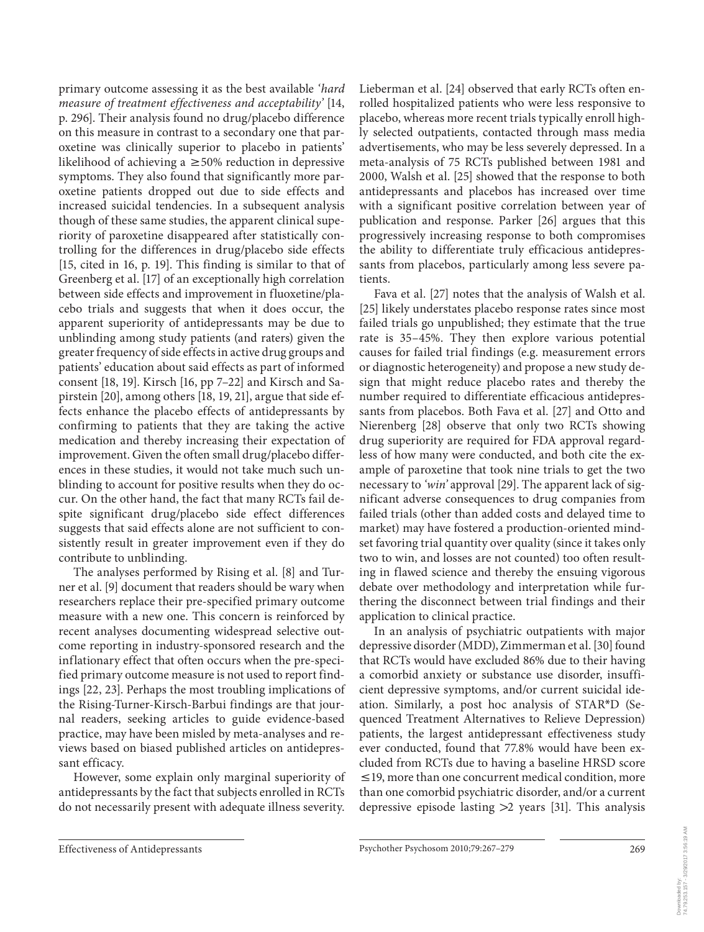primary outcome assessing it as the best available *'hard measure of treatment effectiveness and acceptability'* [ 14 , p. 296]. Their analysis found no drug/placebo difference on this measure in contrast to a secondary one that paroxetine was clinically superior to placebo in patients' likelihood of achieving a  $\geq$  50% reduction in depressive symptoms. They also found that significantly more paroxetine patients dropped out due to side effects and increased suicidal tendencies. In a subsequent analysis though of these same studies, the apparent clinical superiority of paroxetine disappeared after statistically controlling for the differences in drug/placebo side effects [15, cited in 16, p. 19]. This finding is similar to that of Greenberg et al. [17] of an exceptionally high correlation between side effects and improvement in fluoxetine/placebo trials and suggests that when it does occur, the apparent superiority of antidepressants may be due to unblinding among study patients (and raters) given the greater frequency of side effects in active drug groups and patients' education about said effects as part of informed consent [18, 19]. Kirsch [16, pp 7-22] and Kirsch and Sapirstein [20], among others [18, 19, 21], argue that side effects enhance the placebo effects of antidepressants by confirming to patients that they are taking the active medication and thereby increasing their expectation of improvement. Given the often small drug/placebo differences in these studies, it would not take much such unblinding to account for positive results when they do occur. On the other hand, the fact that many RCTs fail despite significant drug/placebo side effect differences suggests that said effects alone are not sufficient to consistently result in greater improvement even if they do contribute to unblinding.

 The analyses performed by Rising et al. [8] and Turner et al. [9] document that readers should be wary when researchers replace their pre-specified primary outcome measure with a new one. This concern is reinforced by recent analyses documenting widespread selective outcome reporting in industry-sponsored research and the inflationary effect that often occurs when the pre-specified primary outcome measure is not used to report findings [22, 23]. Perhaps the most troubling implications of the Rising-Turner-Kirsch-Barbui findings are that journal readers, seeking articles to guide evidence-based practice, may have been misled by meta-analyses and reviews based on biased published articles on antidepressant efficacy.

 However, some explain only marginal superiority of antidepressants by the fact that subjects enrolled in RCTs do not necessarily present with adequate illness severity.

Lieberman et al. [24] observed that early RCTs often enrolled hospitalized patients who were less responsive to placebo, whereas more recent trials typically enroll highly selected outpatients, contacted through mass media advertisements, who may be less severely depressed. In a meta-analysis of 75 RCTs published between 1981 and 2000, Walsh et al.[25] showed that the response to both antidepressants and placebos has increased over time with a significant positive correlation between year of publication and response. Parker [26] argues that this progressively increasing response to both compromises the ability to differentiate truly efficacious antidepressants from placebos, particularly among less severe patients.

 Fava et al. [27] notes that the analysis of Walsh et al. [25] likely understates placebo response rates since most failed trials go unpublished; they estimate that the true rate is 35–45%. They then explore various potential causes for failed trial findings (e.g. measurement errors or diagnostic heterogeneity) and propose a new study design that might reduce placebo rates and thereby the number required to differentiate efficacious antidepressants from placebos. Both Fava et al. [27] and Otto and Nierenberg [28] observe that only two RCTs showing drug superiority are required for FDA approval regardless of how many were conducted, and both cite the example of paroxetine that took nine trials to get the two necessary to *'win'* approval [29] . The apparent lack of significant adverse consequences to drug companies from failed trials (other than added costs and delayed time to market) may have fostered a production-oriented mindset favoring trial quantity over quality (since it takes only two to win, and losses are not counted) too often resulting in flawed science and thereby the ensuing vigorous debate over methodology and interpretation while furthering the disconnect between trial findings and their application to clinical practice.

 In an analysis of psychiatric outpatients with major depressive disorder (MDD), Zimmerman et al. [30] found that RCTs would have excluded 86% due to their having a comorbid anxiety or substance use disorder, insufficient depressive symptoms, and/or current suicidal ideation. Similarly, a post hoc analysis of STAR\*D (Sequenced Treatment Alternatives to Relieve Depression) patients, the largest antidepressant effectiveness study ever conducted, found that 77.8% would have been excluded from RCTs due to having a baseline HRSD score  $\leq$ 19, more than one concurrent medical condition, more than one comorbid psychiatric disorder, and/or a current depressive episode lasting  $>2$  years [31]. This analysis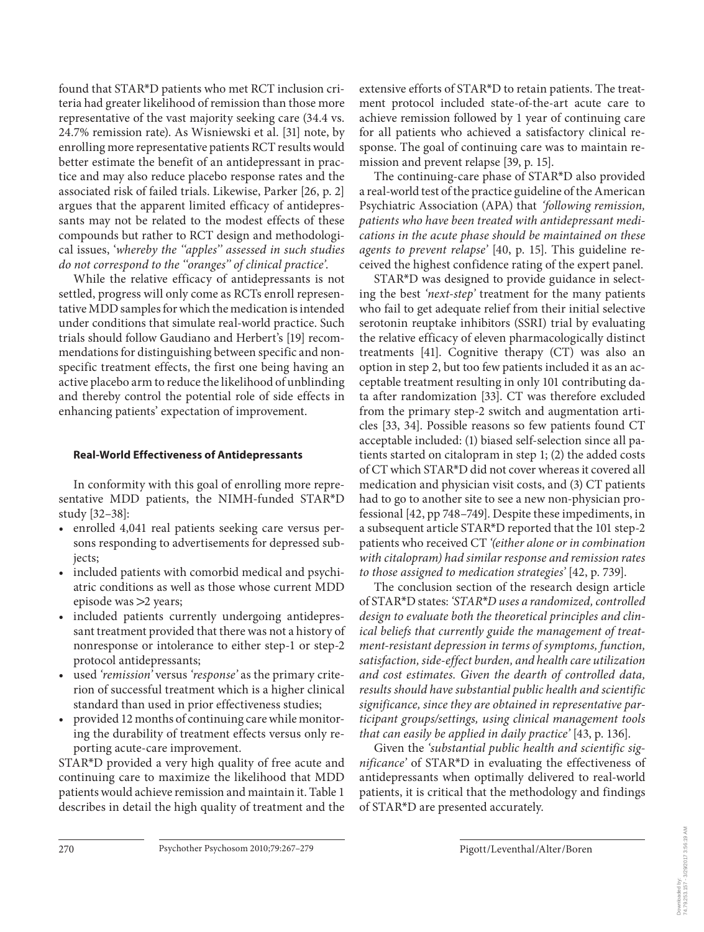found that STAR<sup>\*</sup>D patients who met RCT inclusion criteria had greater likelihood of remission than those more representative of the vast majority seeking care (34.4 vs. 24.7% remission rate). As Wisniewski et al. [31] note, by enrolling more representative patients RCT results would better estimate the benefit of an antidepressant in practice and may also reduce placebo response rates and the associated risk of failed trials. Likewise, Parker [26, p. 2] argues that the apparent limited efficacy of antidepressants may not be related to the modest effects of these compounds but rather to RCT design and methodological issues, ' *whereby the ''apples'' assessed in such studies do not correspond to the ''oranges'' of clinical practice'* .

 While the relative efficacy of antidepressants is not settled, progress will only come as RCTs enroll representative MDD samples for which the medication is intended under conditions that simulate real-world practice. Such trials should follow Gaudiano and Herbert's [19] recommendations for distinguishing between specific and nonspecific treatment effects, the first one being having an active placebo arm to reduce the likelihood of unblinding and thereby control the potential role of side effects in enhancing patients' expectation of improvement.

# **Real-World Effectiveness of Antidepressants**

 In conformity with this goal of enrolling more representative MDD patients, the NIMH-funded STAR\*D study [32–38] :

- enrolled 4,041 real patients seeking care versus persons responding to advertisements for depressed subjects;
- included patients with comorbid medical and psychiatric conditions as well as those whose current MDD episode was  $>2$  years;
- included patients currently undergoing antidepressant treatment provided that there was not a history of nonresponse or intolerance to either step-1 or step-2 protocol antidepressants;
- used *'remission'* versus *'response'* as the primary criterion of successful treatment which is a higher clinical standard than used in prior effectiveness studies;
- provided 12 months of continuing care while monitoring the durability of treatment effects versus only reporting acute-care improvement.

STAR\*D provided a very high quality of free acute and continuing care to maximize the likelihood that MDD patients would achieve remission and maintain it. Table 1 describes in detail the high quality of treatment and the extensive efforts of STAR<sup>\*</sup>D to retain patients. The treatment protocol included state-of-the-art acute care to achieve remission followed by 1 year of continuing care for all patients who achieved a satisfactory clinical response. The goal of continuing care was to maintain remission and prevent relapse [39, p. 15].

The continuing-care phase of STAR\*D also provided a real-world test of the practice guideline of the American Psychiatric Association (APA) that *' following remission, patients who have been treated with antidepressant medications in the acute phase should be maintained on these agents to prevent relapse'* [40, p. 15]. This guideline received the highest confidence rating of the expert panel.

STAR\*D was designed to provide guidance in selecting the best '*next-step*' treatment for the many patients who fail to get adequate relief from their initial selective serotonin reuptake inhibitors (SSRI) trial by evaluating the relative efficacy of eleven pharmacologically distinct treatments [41]. Cognitive therapy (CT) was also an option in step 2, but too few patients included it as an acceptable treatment resulting in only 101 contributing data after randomization [33]. CT was therefore excluded from the primary step-2 switch and augmentation articles [33, 34]. Possible reasons so few patients found CT acceptable included: (1) biased self-selection since all patients started on citalopram in step 1; (2) the added costs of CT which STAR\*D did not cover whereas it covered all medication and physician visit costs, and (3) CT patients had to go to another site to see a new non-physician professional [42, pp 748-749]. Despite these impediments, in a subsequent article STAR<sup>\*</sup>D reported that the 101 step-2 patients who received CT *'(either alone or in combination with citalopram) had similar response and remission rates to those assigned to medication strategies'* [42, p. 739].

 The conclusion section of the research design article of STAR \* D states: *'STAR* \* *D uses a randomized, controlled design to evaluate both the theoretical principles and clinical beliefs that currently guide the management of treatment-resistant depression in terms of symptoms, function, satisfaction, side-effect burden, and health care utilization and cost estimates. Given the dearth of controlled data, results should have substantial public health and scientific significance, since they are obtained in representative participant groups/settings, using clinical management tools that can easily be applied in daily practice'* [43, p. 136].

 Given the *'substantial public health and scientific significance*' of STAR<sup>\*</sup>D in evaluating the effectiveness of antidepressants when optimally delivered to real-world patients, it is critical that the methodology and findings of STAR\*D are presented accurately.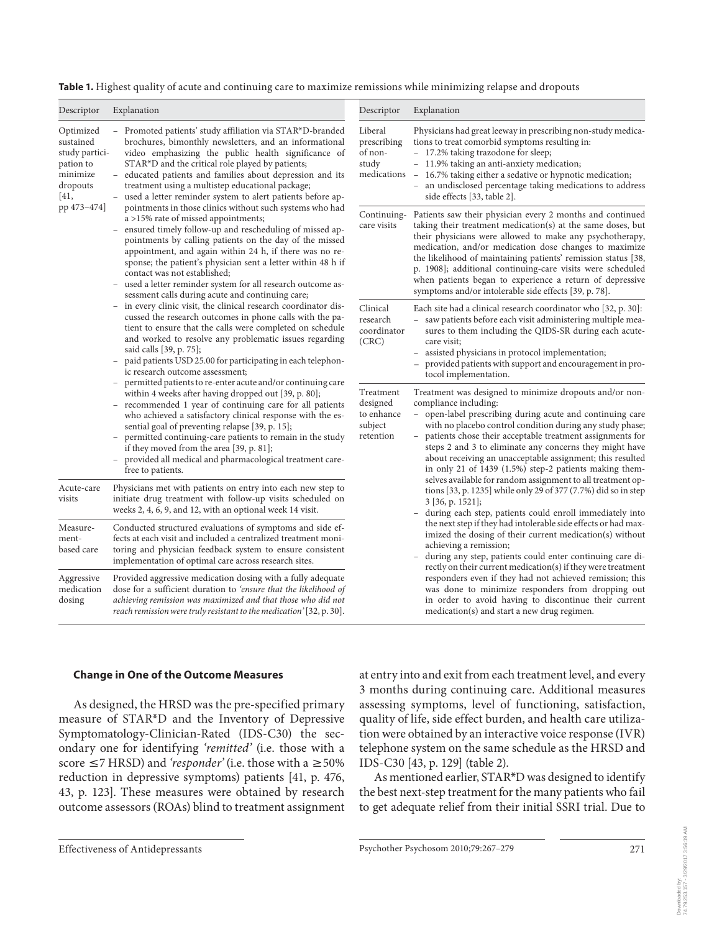**Table 1.** Highest quality of acute and continuing care to maximize remissions while minimizing relapse and dropouts

| Descriptor                                                                                           | Explanation                                                                                                                                                                                                                                                                                                                                                                                                                                                                                                                                                                                                                                                                                                                                                                                                                                                                                                                                                                                                                                                                                                                                                                                                                                                                                                                                                                                                                                                                                                                                                                                                                                                                                                                                                                                                                                                                                                                                                                    | Descriptor                                                  | Explanation                                                                                                                                                                                                                                                                                                                                                                                                                                                                                                                                                                                                                                                                                                                                                                                                                                                                                                                                                                                                                                                                                                                                                                                                            |
|------------------------------------------------------------------------------------------------------|--------------------------------------------------------------------------------------------------------------------------------------------------------------------------------------------------------------------------------------------------------------------------------------------------------------------------------------------------------------------------------------------------------------------------------------------------------------------------------------------------------------------------------------------------------------------------------------------------------------------------------------------------------------------------------------------------------------------------------------------------------------------------------------------------------------------------------------------------------------------------------------------------------------------------------------------------------------------------------------------------------------------------------------------------------------------------------------------------------------------------------------------------------------------------------------------------------------------------------------------------------------------------------------------------------------------------------------------------------------------------------------------------------------------------------------------------------------------------------------------------------------------------------------------------------------------------------------------------------------------------------------------------------------------------------------------------------------------------------------------------------------------------------------------------------------------------------------------------------------------------------------------------------------------------------------------------------------------------------|-------------------------------------------------------------|------------------------------------------------------------------------------------------------------------------------------------------------------------------------------------------------------------------------------------------------------------------------------------------------------------------------------------------------------------------------------------------------------------------------------------------------------------------------------------------------------------------------------------------------------------------------------------------------------------------------------------------------------------------------------------------------------------------------------------------------------------------------------------------------------------------------------------------------------------------------------------------------------------------------------------------------------------------------------------------------------------------------------------------------------------------------------------------------------------------------------------------------------------------------------------------------------------------------|
| Optimized<br>sustained<br>study partici-<br>pation to<br>minimize<br>dropouts<br>[41,<br>pp 473-474] | Promoted patients' study affiliation via STAR*D-branded<br>$\overline{\phantom{0}}$<br>brochures, bimonthly newsletters, and an informational<br>video emphasizing the public health significance of<br>STAR*D and the critical role played by patients;<br>educated patients and families about depression and its<br>treatment using a multistep educational package;<br>used a letter reminder system to alert patients before ap-<br>$\overline{\phantom{a}}$<br>pointments in those clinics without such systems who had<br>a >15% rate of missed appointments;<br>ensured timely follow-up and rescheduling of missed ap-<br>pointments by calling patients on the day of the missed<br>appointment, and again within 24 h, if there was no re-<br>sponse; the patient's physician sent a letter within 48 h if<br>contact was not established;<br>used a letter reminder system for all research outcome as-<br>$\overline{\phantom{0}}$<br>sessment calls during acute and continuing care;<br>in every clinic visit, the clinical research coordinator dis-<br>$\overline{\phantom{0}}$<br>cussed the research outcomes in phone calls with the pa-<br>tient to ensure that the calls were completed on schedule<br>and worked to resolve any problematic issues regarding<br>said calls [39, p. 75];<br>paid patients USD 25.00 for participating in each telephon-<br>$\overline{\phantom{0}}$<br>ic research outcome assessment;<br>permitted patients to re-enter acute and/or continuing care<br>within 4 weeks after having dropped out [39, p. 80];<br>recommended 1 year of continuing care for all patients<br>-<br>who achieved a satisfactory clinical response with the es-<br>sential goal of preventing relapse [39, p. 15];<br>permitted continuing-care patients to remain in the study<br>$\overline{\phantom{a}}$<br>if they moved from the area [39, p. 81];<br>provided all medical and pharmacological treatment care-<br>-<br>free to patients. | Liberal<br>prescribing<br>of non-<br>study<br>medications - | Physicians had great leeway in prescribing non-study medica-<br>tions to treat comorbid symptoms resulting in:<br>- 17.2% taking trazodone for sleep;<br>- 11.9% taking an anti-anxiety medication;<br>16.7% taking either a sedative or hypnotic medication;<br>- an undisclosed percentage taking medications to address<br>side effects [33, table 2].                                                                                                                                                                                                                                                                                                                                                                                                                                                                                                                                                                                                                                                                                                                                                                                                                                                              |
|                                                                                                      |                                                                                                                                                                                                                                                                                                                                                                                                                                                                                                                                                                                                                                                                                                                                                                                                                                                                                                                                                                                                                                                                                                                                                                                                                                                                                                                                                                                                                                                                                                                                                                                                                                                                                                                                                                                                                                                                                                                                                                                | care visits                                                 | Continuing- Patients saw their physician every 2 months and continued<br>taking their treatment medication(s) at the same doses, but<br>their physicians were allowed to make any psychotherapy,<br>medication, and/or medication dose changes to maximize<br>the likelihood of maintaining patients' remission status [38,<br>p. 1908]; additional continuing-care visits were scheduled<br>when patients began to experience a return of depressive<br>symptoms and/or intolerable side effects [39, p. 78].                                                                                                                                                                                                                                                                                                                                                                                                                                                                                                                                                                                                                                                                                                         |
|                                                                                                      |                                                                                                                                                                                                                                                                                                                                                                                                                                                                                                                                                                                                                                                                                                                                                                                                                                                                                                                                                                                                                                                                                                                                                                                                                                                                                                                                                                                                                                                                                                                                                                                                                                                                                                                                                                                                                                                                                                                                                                                | Clinical<br>research<br>coordinator<br>(CRC)                | Each site had a clinical research coordinator who [32, p. 30]:<br>saw patients before each visit administering multiple mea-<br>sures to them including the QIDS-SR during each acute-<br>care visit;<br>assisted physicians in protocol implementation;<br>provided patients with support and encouragement in pro-<br>tocol implementation.                                                                                                                                                                                                                                                                                                                                                                                                                                                                                                                                                                                                                                                                                                                                                                                                                                                                          |
|                                                                                                      |                                                                                                                                                                                                                                                                                                                                                                                                                                                                                                                                                                                                                                                                                                                                                                                                                                                                                                                                                                                                                                                                                                                                                                                                                                                                                                                                                                                                                                                                                                                                                                                                                                                                                                                                                                                                                                                                                                                                                                                | Treatment<br>designed<br>to enhance<br>subject<br>retention | Treatment was designed to minimize dropouts and/or non-<br>compliance including:<br>- open-label prescribing during acute and continuing care<br>with no placebo control condition during any study phase;<br>patients chose their acceptable treatment assignments for<br>steps 2 and 3 to eliminate any concerns they might have<br>about receiving an unacceptable assignment; this resulted<br>in only 21 of 1439 (1.5%) step-2 patients making them-<br>selves available for random assignment to all treatment op-<br>tions [33, p. 1235] while only 29 of 377 (7.7%) did so in step<br>$3$ [36, p. 1521];<br>during each step, patients could enroll immediately into<br>$\overline{\phantom{0}}$<br>the next step if they had intolerable side effects or had max-<br>imized the dosing of their current medication(s) without<br>achieving a remission;<br>during any step, patients could enter continuing care di-<br>rectly on their current medication(s) if they were treatment<br>responders even if they had not achieved remission; this<br>was done to minimize responders from dropping out<br>in order to avoid having to discontinue their current<br>medication(s) and start a new drug regimen. |
| Acute-care<br>visits                                                                                 | Physicians met with patients on entry into each new step to<br>initiate drug treatment with follow-up visits scheduled on<br>weeks 2, 4, 6, 9, and 12, with an optional week 14 visit.                                                                                                                                                                                                                                                                                                                                                                                                                                                                                                                                                                                                                                                                                                                                                                                                                                                                                                                                                                                                                                                                                                                                                                                                                                                                                                                                                                                                                                                                                                                                                                                                                                                                                                                                                                                         |                                                             |                                                                                                                                                                                                                                                                                                                                                                                                                                                                                                                                                                                                                                                                                                                                                                                                                                                                                                                                                                                                                                                                                                                                                                                                                        |
| Measure-<br>ment-<br>based care                                                                      | Conducted structured evaluations of symptoms and side ef-<br>fects at each visit and included a centralized treatment moni-<br>toring and physician feedback system to ensure consistent<br>implementation of optimal care across research sites.                                                                                                                                                                                                                                                                                                                                                                                                                                                                                                                                                                                                                                                                                                                                                                                                                                                                                                                                                                                                                                                                                                                                                                                                                                                                                                                                                                                                                                                                                                                                                                                                                                                                                                                              |                                                             |                                                                                                                                                                                                                                                                                                                                                                                                                                                                                                                                                                                                                                                                                                                                                                                                                                                                                                                                                                                                                                                                                                                                                                                                                        |
| Aggressive<br>medication<br>dosing                                                                   | Provided aggressive medication dosing with a fully adequate<br>dose for a sufficient duration to 'ensure that the likelihood of<br>achieving remission was maximized and that those who did not<br>reach remission were truly resistant to the medication' [32, p. 30].                                                                                                                                                                                                                                                                                                                                                                                                                                                                                                                                                                                                                                                                                                                                                                                                                                                                                                                                                                                                                                                                                                                                                                                                                                                                                                                                                                                                                                                                                                                                                                                                                                                                                                        |                                                             |                                                                                                                                                                                                                                                                                                                                                                                                                                                                                                                                                                                                                                                                                                                                                                                                                                                                                                                                                                                                                                                                                                                                                                                                                        |

## **Change in One of the Outcome Measures**

 As designed, the HRSD was the pre-specified primary measure of STAR\*D and the Inventory of Depressive Symptomatology-Clinician-Rated (IDS-C30) the secondary one for identifying 'remitted' (i.e. those with a score  $\leq$  7 HRSD) and *'responder'* (i.e. those with a  $\geq$  50% reduction in depressive symptoms) patients [41, p. 476, 43 , p. 123]. These measures were obtained by research outcome assessors (ROAs) blind to treatment assignment at entry into and exit from each treatment level, and every 3 months during continuing care. Additional measures assessing symptoms, level of functioning, satisfaction, quality of life, side effect burden, and health care utilization were obtained by an interactive voice response (IVR) telephone system on the same schedule as the HRSD and IDS-C30 [43, p. 129] (table 2).

As mentioned earlier, STAR\*D was designed to identify the best next-step treatment for the many patients who fail to get adequate relief from their initial SSRI trial. Due to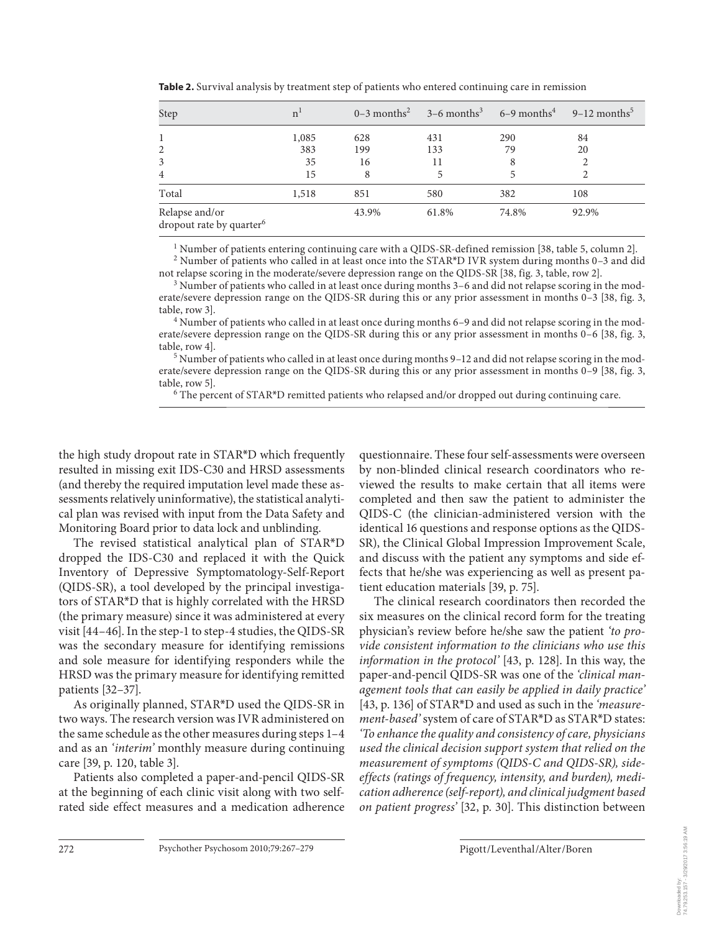| Step                                                   | n <sup>1</sup> |       | $0-3$ months <sup>2</sup> $3-6$ months <sup>3</sup> $6-9$ months <sup>4</sup> |       | $9-12$ months <sup>5</sup> |
|--------------------------------------------------------|----------------|-------|-------------------------------------------------------------------------------|-------|----------------------------|
| 1                                                      | 1,085          | 628   | 431                                                                           | 290   | 84                         |
| 2                                                      | 383            | 199   | 133                                                                           | 79    | 20                         |
| 3                                                      | 35             | 16    | 11                                                                            | 8     |                            |
| $\overline{4}$                                         | 15             | 8     |                                                                               | 5     |                            |
| Total                                                  | 1,518          | 851   | 580                                                                           | 382   | 108                        |
| Relapse and/or<br>dropout rate by quarter <sup>6</sup> |                | 43.9% | 61.8%                                                                         | 74.8% | 92.9%                      |

**Table 2.** Survival analysis by treatment step of patients who entered continuing care in remission

<sup>1</sup> Number of patients entering continuing care with a QIDS-SR-defined remission [38, table 5, column 2].  $^2$  Number of patients who called in at least once into the STAR\*D IVR system during months 0–3 and did

not relapse scoring in the moderate/severe depression range on the QIDS-SR [38, fig. 3, table, row 2].

 $3$  Number of patients who called in at least once during months  $3-6$  and did not relapse scoring in the moderate/severe depression range on the QIDS-SR during this or any prior assessment in months 0–3 [38, fig. 3, table, row 3]. <sup>4</sup>

 Number of patients who called in at least once during months 6–9 and did not relapse scoring in the moderate/severe depression range on the QIDS-SR during this or any prior assessment in months 0–6 [38, fig. 3, table, row 4]. <sup>5</sup>

 Number of patients who called in at least once during months 9–12 and did not relapse scoring in the moderate/severe depression range on the QIDS-SR during this or any prior assessment in months 0–9 [38, fig. 3, table, row 5].

The percent of STAR\*D remitted patients who relapsed and/or dropped out during continuing care.

the high study dropout rate in STAR<sup>\*</sup>D which frequently resulted in missing exit IDS-C30 and HRSD assessments (and thereby the required imputation level made these assessments relatively uninformative), the statistical analytical plan was revised with input from the Data Safety and Monitoring Board prior to data lock and unblinding.

The revised statistical analytical plan of STAR\*D dropped the IDS-C30 and replaced it with the Quick Inventory of Depressive Symptomatology-Self-Report (QIDS-SR), a tool developed by the principal investigators of STAR\*D that is highly correlated with the HRSD (the primary measure) since it was administered at every visit [44-46]. In the step-1 to step-4 studies, the QIDS-SR was the secondary measure for identifying remissions and sole measure for identifying responders while the HRSD was the primary measure for identifying remitted patients [32–37] .

As originally planned, STAR\*D used the QIDS-SR in two ways. The research version was IVR administered on the same schedule as the other measures during steps 1–4 and as an *'interim'* monthly measure during continuing care [39, p. 120, table 3].

 Patients also completed a paper-and-pencil QIDS-SR at the beginning of each clinic visit along with two selfrated side effect measures and a medication adherence questionnaire. These four self-assessments were overseen by non-blinded clinical research coordinators who reviewed the results to make certain that all items were completed and then saw the patient to administer the QIDS-C (the clinician-administered version with the identical 16 questions and response options as the QIDS-SR), the Clinical Global Impression Improvement Scale, and discuss with the patient any symptoms and side effects that he/she was experiencing as well as present patient education materials [39, p. 75].

 The clinical research coordinators then recorded the six measures on the clinical record form for the treating physician's review before he/she saw the patient *'to provide consistent information to the clinicians who use this information in the protocol'* [43, p. 128]. In this way, the paper-and-pencil QIDS-SR was one of the *'clinical management tools that can easily be applied in daily practice'* [ 43 , p. 136] of STAR \* D and used as such in the *'measurement-based'* system of care of STAR\*D as STAR\*D states: *'To enhance the quality and consistency of care, physicians used the clinical decision support system that relied on the measurement of symptoms (QIDS-C and QIDS-SR), sideeffects (ratings of frequency, intensity, and burden), medication adherence (self-report), and clinical judgment based on patient progress'* [32, p. 30]. This distinction between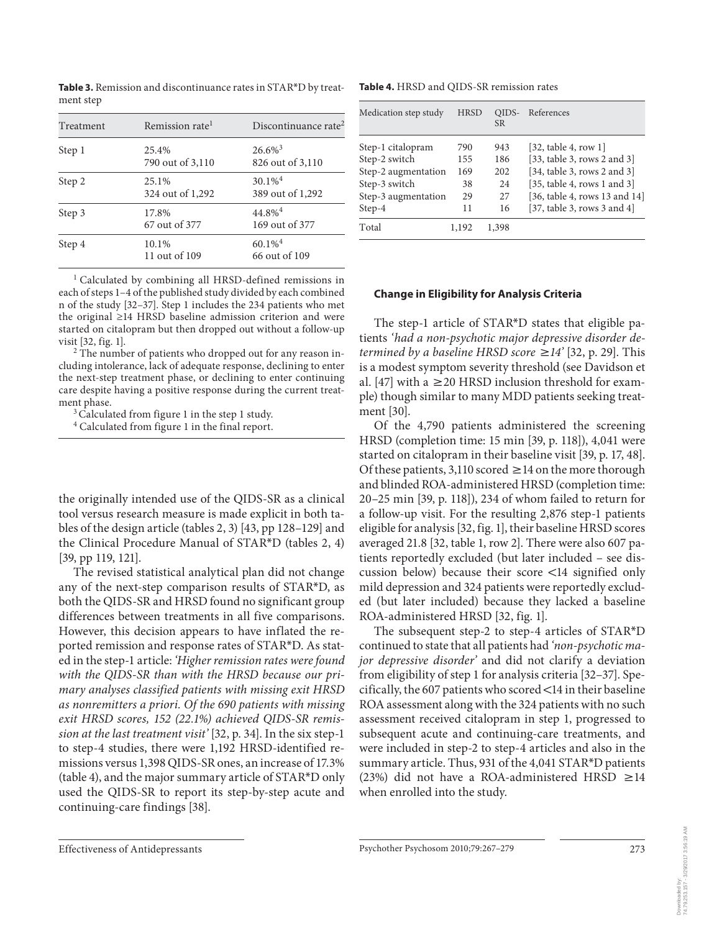| Treatment | Remission rate <sup>1</sup> | Discontinuance rate <sup>2</sup>          |
|-----------|-----------------------------|-------------------------------------------|
| Step 1    | 25.4%<br>790 out of 3,110   | $26.6\%$ <sup>3</sup><br>826 out of 3,110 |
| Step 2    | 25.1%<br>324 out of 1,292   | $30.1\%$ <sup>4</sup><br>389 out of 1,292 |
| Step 3    | 17.8%<br>67 out of 377      | $44.8\%$ <sup>4</sup><br>169 out of 377   |
| Step 4    | 10.1%<br>11 out of 109      | $60.1\%$ <sup>4</sup><br>66 out of 109    |

**Table 3.** Remission and discontinuance rates in STAR\*D by treatment step

<sup>1</sup> Calculated by combining all HRSD-defined remissions in each of steps 1–4 of the published study divided by each combined n of the study [32–37]. Step 1 includes the 234 patients who met the original ≥14 HRSD baseline admission criterion and were started on citalopram but then dropped out without a follow-up visit [32, fig. 1]. <sup>2</sup>

<sup>2</sup> The number of patients who dropped out for any reason including intolerance, lack of adequate response, declining to enter the next-step treatment phase, or declining to enter continuing care despite having a positive response during the current treat-

ment phase.<br><sup>3</sup> Calculated from figure 1 in the step 1 study.

4 Calculated from figure 1 in the final report.

the originally intended use of the QIDS-SR as a clinical tool versus research measure is made explicit in both tables of the design article (tables 2, 3)  $[43, pp 128-129]$  and the Clinical Procedure Manual of  $STAR^*D$  (tables 2, 4) [39, pp 119, 121].

 The revised statistical analytical plan did not change any of the next-step comparison results of STAR\*D, as both the QIDS-SR and HRSD found no significant group differences between treatments in all five comparisons. However, this decision appears to have inflated the reported remission and response rates of STAR\*D. As stated in the step-1 article: *'Higher remission rates were found with the QIDS-SR than with the HRSD because our primary analyses classified patients with missing exit HRSD as nonremitters a priori. Of the 690 patients with missing exit HRSD scores, 152 (22.1%) achieved QIDS-SR remission at the last treatment visit'* [32, p. 34]. In the six step-1 to step-4 studies, there were 1,192 HRSD-identified remissions versus 1,398 QIDS-SR ones, an increase of 17.3%  $($ table 4 $)$ , and the major summary article of STAR<sup>\*</sup>D only used the QIDS-SR to report its step-by-step acute and continuing-care findings [38] .

**Table 4.** HRSD and QIDS-SR remission rates

| Medication step study | <b>HRSD</b> | OIDS-<br><b>SR</b> | References                       |
|-----------------------|-------------|--------------------|----------------------------------|
| Step-1 citalopram     | 790         | 943                | [32, table 4, row 1]             |
| Step-2 switch         | 155         | 186                | [33, table 3, rows 2 and 3]      |
| Step-2 augmentation   | 169         | 202                | [34, table 3, rows 2 and 3]      |
| Step-3 switch         | 38          | 24                 | [35, table 4, rows 1 and 3]      |
| Step-3 augmentation   | 29          | 27                 | [36, table 4, rows 13 and $14$ ] |
| Step-4                | 11          | 16                 | [37, table 3, rows 3 and 4]      |
| Total                 | 1.192       | 1.398              |                                  |

#### **Change in Eligibility for Analysis Criteria**

The step-1 article of STAR\*D states that eligible patients *'had a non-psychotic major depressive disorder determined by a baseline HRSD score*  $\geq 14'$  [32, p. 29]. This is a modest symptom severity threshold (see Davidson et al. [47] with a  $\geq$  20 HRSD inclusion threshold for example) though similar to many MDD patients seeking treatment [30].

 Of the 4,790 patients administered the screening HRSD (completion time: 15 min [39, p. 118]), 4,041 were started on citalopram in their baseline visit [39, p. 17, 48]. Of these patients, 3,110 scored  $\geq$  14 on the more thorough and blinded ROA-administered HRSD (completion time: 20–25 min [39, p. 118]), 234 of whom failed to return for a follow-up visit. For the resulting 2,876 step-1 patients eligible for analysis [ 32 , fig. 1], their baseline HRSD scores averaged 21.8 [32, table 1, row 2]. There were also 607 patients reportedly excluded (but later included – see discussion below) because their score  $\langle 14 \rangle$  signified only mild depression and 324 patients were reportedly excluded (but later included) because they lacked a baseline ROA-administered HRSD [32, fig. 1].

The subsequent step-2 to step-4 articles of STAR\*D continued to state that all patients had *'non-psychotic major depressive disorder'* and did not clarify a deviation from eligibility of step 1 for analysis criteria [32–37] . Specifically, the 607 patients who scored  $\leq$  14 in their baseline ROA assessment along with the 324 patients with no such assessment received citalopram in step 1, progressed to subsequent acute and continuing-care treatments, and were included in step-2 to step-4 articles and also in the summary article. Thus, 931 of the 4,041 STAR\*D patients (23%) did not have a ROA-administered HRSD  $\geq$ 14 when enrolled into the study.

Downloaded by:

3/29/2017 3:56:19 AM 74.79.253.157 - 3/29/2017 3:56:19 AM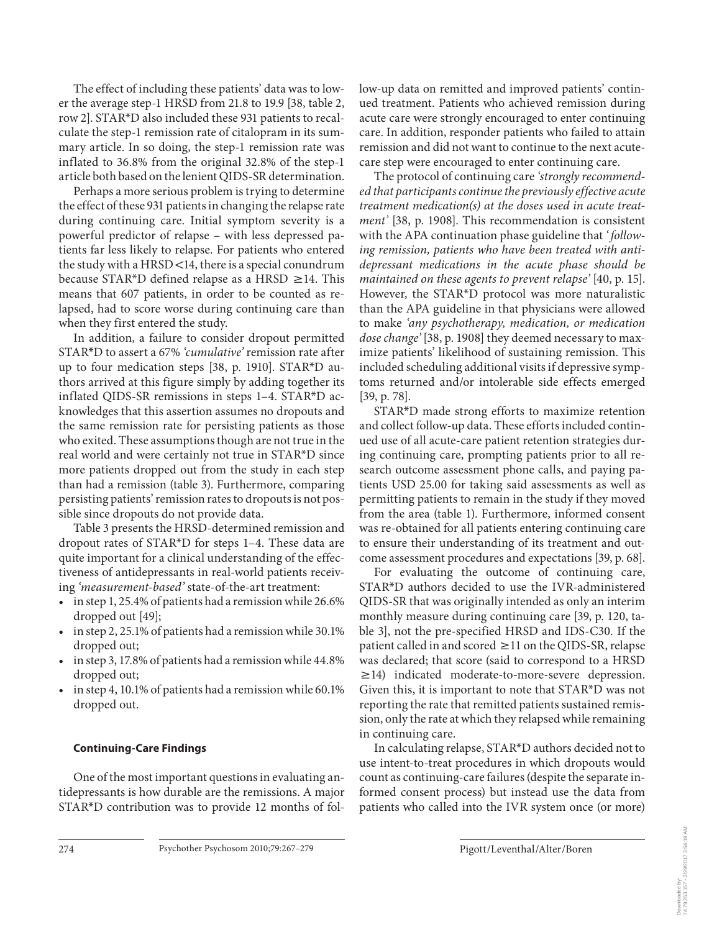The effect of including these patients' data was to lower the average step-1 HRSD from 21.8 to 19.9 [38, table 2, row 2]. STAR<sup>\*</sup>D also included these 931 patients to recalculate the step-1 remission rate of citalopram in its summary article. In so doing, the step-1 remission rate was inflated to 36.8% from the original 32.8% of the step-1 article both based on the lenient QIDS-SR determination.

 Perhaps a more serious problem is trying to determine the effect of these 931 patients in changing the relapse rate during continuing care. Initial symptom severity is a powerful predictor of relapse – with less depressed patients far less likely to relapse. For patients who entered the study with a  $HRSD < 14$ , there is a special conundrum because STAR\*D defined relapse as a HRSD  $\geq$  14. This means that 607 patients, in order to be counted as relapsed, had to score worse during continuing care than when they first entered the study.

 In addition, a failure to consider dropout permitted STAR<sup>\*</sup>D to assert a 67% 'cumulative' remission rate after up to four medication steps [38, p. 1910]. STAR\*D authors arrived at this figure simply by adding together its inflated QIDS-SR remissions in steps  $1-4$ . STAR\*D acknowledges that this assertion assumes no dropouts and the same remission rate for persisting patients as those who exited. These assumptions though are not true in the real world and were certainly not true in STAR\*D since more patients dropped out from the study in each step than had a remission (table 3). Furthermore, comparing persisting patients' remission rates to dropouts is not possible since dropouts do not provide data.

 Table 3 presents the HRSD-determined remission and dropout rates of STAR<sup>\*</sup>D for steps 1–4. These data are quite important for a clinical understanding of the effectiveness of antidepressants in real-world patients receiving *'measurement-based'* state-of-the-art treatment:

- in step 1, 25.4% of patients had a remission while 26.6% dropped out [49];
- in step 2, 25.1% of patients had a remission while 30.1% dropped out;
- in step 3, 17.8% of patients had a remission while 44.8% dropped out;
- in step 4, 10.1% of patients had a remission while 60.1% dropped out.

## **Continuing-Care Findings**

 One of the most important questions in evaluating antidepressants is how durable are the remissions. A major STAR\*D contribution was to provide 12 months of follow-up data on remitted and improved patients' continued treatment. Patients who achieved remission during acute care were strongly encouraged to enter continuing care. In addition, responder patients who failed to attain remission and did not want to continue to the next acutecare step were encouraged to enter continuing care.

 The protocol of continuing care *'strongly recommended that participants continue the previously effective acute treatment medication(s) at the doses used in acute treatment'* [38, p. 1908]. This recommendation is consistent with the APA continuation phase guideline that *' following remission, patients who have been treated with antidepressant medications in the acute phase should be maintained on these agents to prevent relapse'* [40, p. 15]. However, the STAR<sup>\*</sup>D protocol was more naturalistic than the APA guideline in that physicians were allowed to make *'any psychotherapy, medication, or medication dose change'* [38, p. 1908] they deemed necessary to maximize patients' likelihood of sustaining remission. This included scheduling additional visits if depressive symptoms returned and/or intolerable side effects emerged  $[39, p. 78]$ .

STAR<sup>\*</sup>D made strong efforts to maximize retention and collect follow-up data. These efforts included continued use of all acute-care patient retention strategies during continuing care, prompting patients prior to all research outcome assessment phone calls, and paying patients USD 25.00 for taking said assessments as well as permitting patients to remain in the study if they moved from the area (table 1). Furthermore, informed consent was re-obtained for all patients entering continuing care to ensure their understanding of its treatment and outcome assessment procedures and expectations [39, p. 68].

 For evaluating the outcome of continuing care, STAR\*D authors decided to use the IVR-administered QIDS-SR that was originally intended as only an interim monthly measure during continuing care [39, p. 120, table 3], not the pre-specified HRSD and IDS-C30. If the patient called in and scored  $\geq$  11 on the QIDS-SR, relapse was declared; that score (said to correspond to a HRSD  $\geq$ 14) indicated moderate-to-more-severe depression. Given this, it is important to note that STAR\*D was not reporting the rate that remitted patients sustained remission, only the rate at which they relapsed while remaining in continuing care.

In calculating relapse, STAR\*D authors decided not to use intent-to-treat procedures in which dropouts would count as continuing-care failures (despite the separate informed consent process) but instead use the data from patients who called into the IVR system once (or more)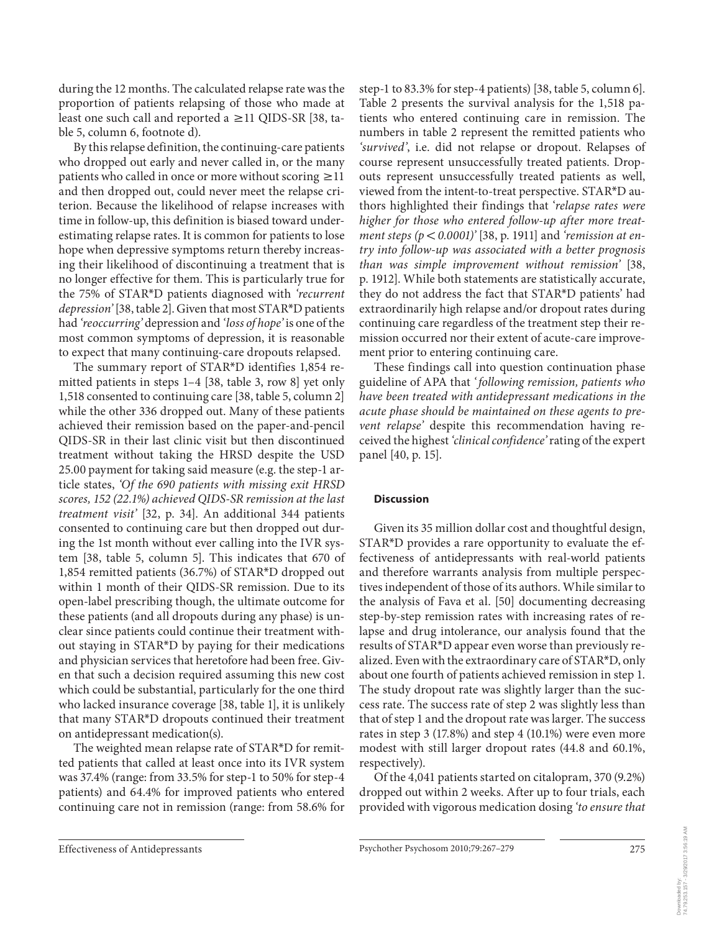during the 12 months. The calculated relapse rate was the proportion of patients relapsing of those who made at least one such call and reported a  $\geq$  11 QIDS-SR [38, table 5, column 6, footnote d).

 By this relapse definition, the continuing-care patients who dropped out early and never called in, or the many patients who called in once or more without scoring  $\geq$  11 and then dropped out, could never meet the relapse criterion. Because the likelihood of relapse increases with time in follow-up, this definition is biased toward underestimating relapse rates. It is common for patients to lose hope when depressive symptoms return thereby increasing their likelihood of discontinuing a treatment that is no longer effective for them. This is particularly true for the 75% of STAR \* D patients diagnosed with *'recurrent depression'* [38, table 2]. Given that most STAR\*D patients had *'reoccurring'* depression and *'loss of hope'* is one of the most common symptoms of depression, it is reasonable to expect that many continuing-care dropouts relapsed.

The summary report of STAR\*D identifies 1,854 remitted patients in steps 1-4 [38, table 3, row 8] yet only 1,518 consented to continuing care [38, table 5, column 2] while the other 336 dropped out. Many of these patients achieved their remission based on the paper-and-pencil QIDS-SR in their last clinic visit but then discontinued treatment without taking the HRSD despite the USD 25.00 payment for taking said measure (e.g. the step-1 article states, *'Of the 690 patients with missing exit HRSD scores, 152 (22.1%) achieved QIDS-SR remission at the last treatment visit'* [32, p. 34]. An additional 344 patients consented to continuing care but then dropped out during the 1st month without ever calling into the IVR system [38, table 5, column 5]. This indicates that 670 of 1,854 remitted patients (36.7%) of STAR\*D dropped out within 1 month of their QIDS-SR remission. Due to its open-label prescribing though, the ultimate outcome for these patients (and all dropouts during any phase) is unclear since patients could continue their treatment without staying in STAR\*D by paying for their medications and physician services that heretofore had been free. Given that such a decision required assuming this new cost which could be substantial, particularly for the one third who lacked insurance coverage [38, table 1], it is unlikely that many STAR\*D dropouts continued their treatment on antidepressant medication(s).

The weighted mean relapse rate of STAR\*D for remitted patients that called at least once into its IVR system was 37.4% (range: from 33.5% for step-1 to 50% for step-4 patients) and 64.4% for improved patients who entered continuing care not in remission (range: from 58.6% for step-1 to 83.3% for step-4 patients) [38, table 5, column 6]. Table 2 presents the survival analysis for the 1,518 patients who entered continuing care in remission. The numbers in table 2 represent the remitted patients who *'survived'* , i.e. did not relapse or dropout. Relapses of course represent unsuccessfully treated patients. Dropouts represent unsuccessfully treated patients as well, viewed from the intent-to-treat perspective. STAR\*D authors highlighted their findings that ' *relapse rates were higher for those who entered follow-up after more treatment steps (p* < 0.0001)' [38, p. 1911] and 'remission at en*try into follow-up was associated with a better prognosis than was simple improvement without remission'* [38, p. 1912]. While both statements are statistically accurate, they do not address the fact that STAR\*D patients' had extraordinarily high relapse and/or dropout rates during continuing care regardless of the treatment step their remission occurred nor their extent of acute-care improvement prior to entering continuing care.

 These findings call into question continuation phase guideline of APA that *' following remission, patients who have been treated with antidepressant medications in the acute phase should be maintained on these agents to prevent relapse'* despite this recommendation having received the highest *'clinical confidence'* rating of the expert panel [40, p. 15].

#### **Discussion**

 Given its 35 million dollar cost and thoughtful design, STAR\*D provides a rare opportunity to evaluate the effectiveness of antidepressants with real-world patients and therefore warrants analysis from multiple perspectives independent of those of its authors. While similar to the analysis of Fava et al.[50] documenting decreasing step-by-step remission rates with increasing rates of relapse and drug intolerance, our analysis found that the results of STAR\*D appear even worse than previously realized. Even with the extraordinary care of STAR\*D, only about one fourth of patients achieved remission in step 1. The study dropout rate was slightly larger than the success rate. The success rate of step 2 was slightly less than that of step 1 and the dropout rate was larger. The success rates in step 3 (17.8%) and step 4 (10.1%) were even more modest with still larger dropout rates (44.8 and 60.1%, respectively).

 Of the 4,041 patients started on citalopram, 370 (9.2%) dropped out within 2 weeks. After up to four trials, each provided with vigorous medication dosing *'to ensure that*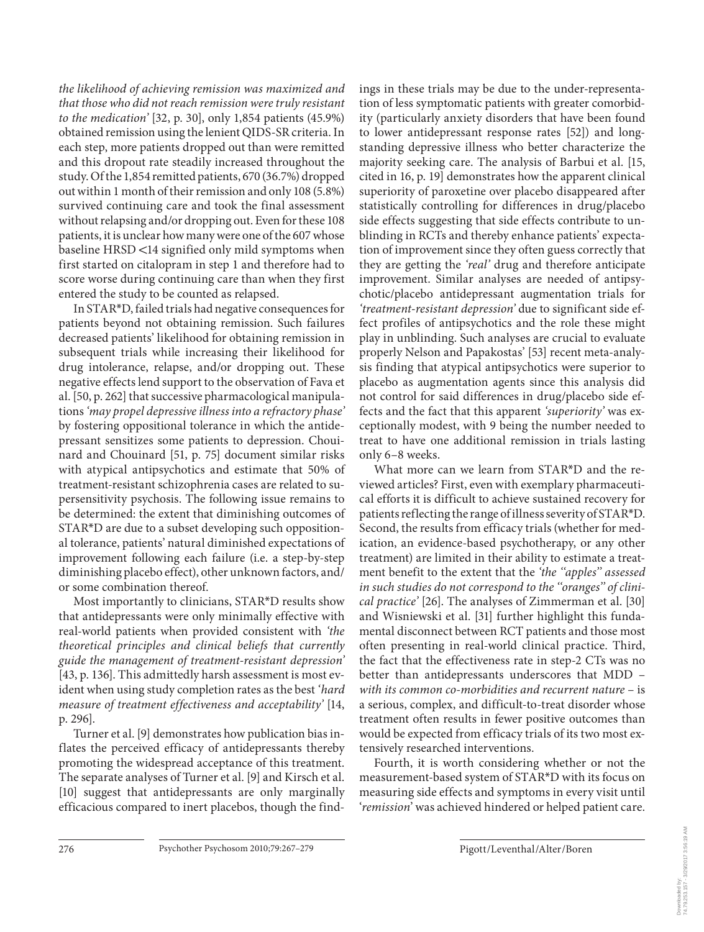*the likelihood of achieving remission was maximized and that those who did not reach remission were truly resistant to the medication'* [32, p. 30], only 1,854 patients (45.9%) obtained remission using the lenient QIDS-SR criteria. In each step, more patients dropped out than were remitted and this dropout rate steadily increased throughout the study. Of the 1,854 remitted patients, 670 (36.7%) dropped out within 1 month of their remission and only 108 (5.8%) survived continuing care and took the final assessment without relapsing and/or dropping out. Even for these 108 patients, it is unclear how many were one of the 607 whose baseline HRSD <14 signified only mild symptoms when first started on citalopram in step 1 and therefore had to score worse during continuing care than when they first entered the study to be counted as relapsed.

 In STAR \* D, failed trials had negative consequences for patients beyond not obtaining remission. Such failures decreased patients' likelihood for obtaining remission in subsequent trials while increasing their likelihood for drug intolerance, relapse, and/or dropping out. These negative effects lend support to the observation of Fava et al. [50, p. 262] that successive pharmacological manipulations *'may propel depressive illness into a refractory phase'* by fostering oppositional tolerance in which the antidepressant sensitizes some patients to depression. Chouinard and Chouinard [51, p. 75] document similar risks with atypical antipsychotics and estimate that 50% of treatment-resistant schizophrenia cases are related to supersensitivity psychosis. The following issue remains to be determined: the extent that diminishing outcomes of STAR<sup>\*</sup>D are due to a subset developing such oppositional tolerance, patients' natural diminished expectations of improvement following each failure (i.e. a step-by-step diminishing placebo effect), other unknown factors, and/ or some combination thereof.

Most importantly to clinicians, STAR\*D results show that antidepressants were only minimally effective with real-world patients when provided consistent with *'the theoretical principles and clinical beliefs that currently guide the management of treatment-resistant depression'* [43, p. 136]. This admittedly harsh assessment is most evident when using study completion rates as the best *'hard measure of treatment effectiveness and acceptability'* [ 14 , p. 296].

 Turner et al. [9] demonstrates how publication bias inflates the perceived efficacy of antidepressants thereby promoting the widespread acceptance of this treatment. The separate analyses of Turner et al. [9] and Kirsch et al. [10] suggest that antidepressants are only marginally efficacious compared to inert placebos, though the findings in these trials may be due to the under-representation of less symptomatic patients with greater comorbidity (particularly anxiety disorders that have been found to lower antidepressant response rates [52]) and longstanding depressive illness who better characterize the majority seeking care. The analysis of Barbui et al. [15, cited in 16 , p. 19] demonstrates how the apparent clinical superiority of paroxetine over placebo disappeared after statistically controlling for differences in drug/placebo side effects suggesting that side effects contribute to unblinding in RCTs and thereby enhance patients' expectation of improvement since they often guess correctly that they are getting the *'real'* drug and therefore anticipate improvement. Similar analyses are needed of antipsychotic/placebo antidepressant augmentation trials for *'treatment-resistant depression'* due to significant side effect profiles of antipsychotics and the role these might play in unblinding. Such analyses are crucial to evaluate properly Nelson and Papakostas' [53] recent meta-analysis finding that atypical antipsychotics were superior to placebo as augmentation agents since this analysis did not control for said differences in drug/placebo side effects and the fact that this apparent *'superiority'* was exceptionally modest, with 9 being the number needed to treat to have one additional remission in trials lasting only 6–8 weeks.

What more can we learn from STAR\*D and the reviewed articles? First, even with exemplary pharmaceutical efforts it is difficult to achieve sustained recovery for patients reflecting the range of illness severity of STAR \* D. Second, the results from efficacy trials (whether for medication, an evidence-based psychotherapy, or any other treatment) are limited in their ability to estimate a treatment benefit to the extent that the *'the ''apples'' assessed in such studies do not correspond to the ''oranges'' of clinical practice'* [26] . The analyses of Zimmerman et al. [30] and Wisniewski et al. [31] further highlight this fundamental disconnect between RCT patients and those most often presenting in real-world clinical practice. Third, the fact that the effectiveness rate in step-2 CTs was no better than antidepressants underscores that MDD – *with its common co-morbidities and recurrent nature* – is a serious, complex, and difficult-to-treat disorder whose treatment often results in fewer positive outcomes than would be expected from efficacy trials of its two most extensively researched interventions.

 Fourth, it is worth considering whether or not the measurement-based system of STAR\*D with its focus on measuring side effects and symptoms in every visit until ' *remission* ' was achieved hindered or helped patient care.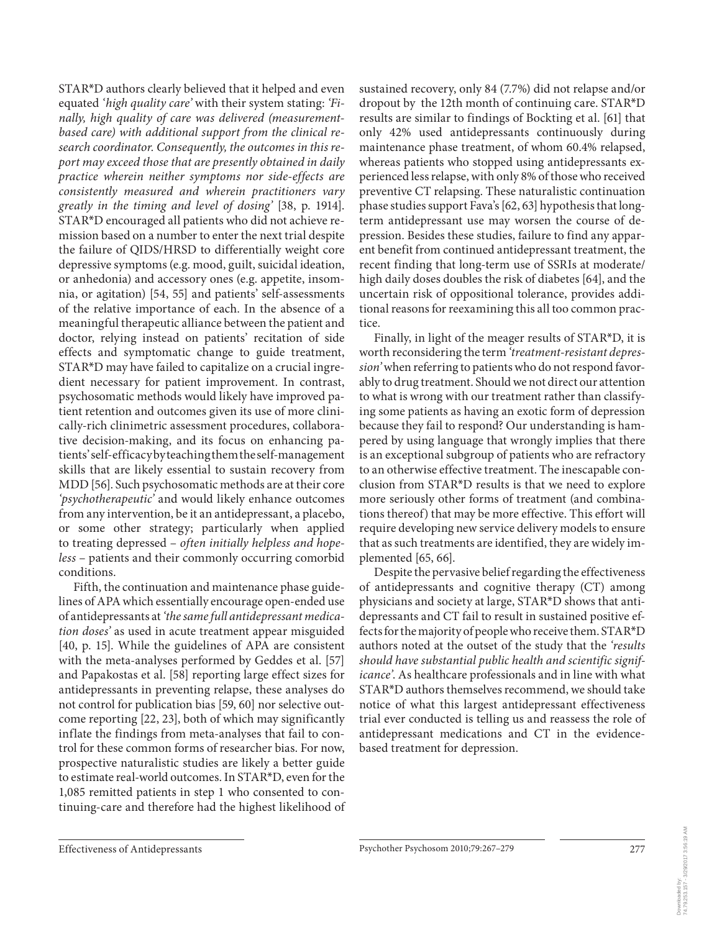STAR<sup>\*</sup>D authors clearly believed that it helped and even equated *'high quality care'* with their system stating: *'Finally, high quality of care was delivered (measurementbased care) with additional support from the clinical research coordinator. Consequently, the outcomes in this report may exceed those that are presently obtained in daily practice wherein neither symptoms nor side-effects are consistently measured and wherein practitioners vary greatly in the timing and level of dosing'* [38, p. 1914]. STAR\*D encouraged all patients who did not achieve remission based on a number to enter the next trial despite the failure of QIDS/HRSD to differentially weight core depressive symptoms (e.g. mood, guilt, suicidal ideation, or anhedonia) and accessory ones (e.g. appetite, insomnia, or agitation) [54, 55] and patients' self-assessments of the relative importance of each. In the absence of a meaningful therapeutic alliance between the patient and doctor, relying instead on patients' recitation of side effects and symptomatic change to guide treatment, STAR\*D may have failed to capitalize on a crucial ingredient necessary for patient improvement. In contrast, psychosomatic methods would likely have improved patient retention and outcomes given its use of more clinically-rich clinimetric assessment procedures, collaborative decision-making, and its focus on enhancing patients' self-efficacy by teaching them the self-management skills that are likely essential to sustain recovery from MDD [56] . Such psychosomatic methods are at their core *'psychotherapeutic'* and would likely enhance outcomes from any intervention, be it an antidepressant, a placebo, or some other strategy; particularly when applied to treating depressed – *often initially helpless and hopeless* – patients and their commonly occurring comorbid conditions.

 Fifth, the continuation and maintenance phase guidelines of APA which essentially encourage open-ended use of antidepressants at *'the same full antidepressant medication doses'* as used in acute treatment appear misguided [40, p. 15]. While the guidelines of APA are consistent with the meta-analyses performed by Geddes et al. [57] and Papakostas et al. [58] reporting large effect sizes for antidepressants in preventing relapse, these analyses do not control for publication bias [59, 60] nor selective outcome reporting [22, 23], both of which may significantly inflate the findings from meta-analyses that fail to control for these common forms of researcher bias. For now, prospective naturalistic studies are likely a better guide to estimate real-world outcomes. In STAR\*D, even for the 1,085 remitted patients in step 1 who consented to continuing-care and therefore had the highest likelihood of sustained recovery, only 84 (7.7%) did not relapse and/or dropout by the 12th month of continuing care. STAR \* D results are similar to findings of Bockting et al. [61] that only 42% used antidepressants continuously during maintenance phase treatment, of whom 60.4% relapsed, whereas patients who stopped using antidepressants experienced less relapse, with only 8% of those who received preventive CT relapsing. These naturalistic continuation phase studies support Fava's [62, 63] hypothesis that longterm antidepressant use may worsen the course of depression. Besides these studies, failure to find any apparent benefit from continued antidepressant treatment, the recent finding that long-term use of SSRIs at moderate/ high daily doses doubles the risk of diabetes [64], and the uncertain risk of oppositional tolerance, provides additional reasons for reexamining this all too common practice.

Finally, in light of the meager results of STAR\*D, it is worth reconsidering the term *'treatment-resistant depression'* when referring to patients who do not respond favorably to drug treatment. Should we not direct our attention to what is wrong with our treatment rather than classifying some patients as having an exotic form of depression because they fail to respond? Our understanding is hampered by using language that wrongly implies that there is an exceptional subgroup of patients who are refractory to an otherwise effective treatment. The inescapable conclusion from STAR\*D results is that we need to explore more seriously other forms of treatment (and combinations thereof) that may be more effective. This effort will require developing new service delivery models to ensure that as such treatments are identified, they are widely implemented  $[65, 66]$ .

 Despite the pervasive belief regarding the effectiveness of antidepressants and cognitive therapy (CT) among physicians and society at large, STAR\*D shows that antidepressants and CT fail to result in sustained positive effects for the majority of people who receive them. STAR\*D authors noted at the outset of the study that the *'results should have substantial public health and scientific significance'* . As healthcare professionals and in line with what STAR<sup>\*</sup>D authors themselves recommend, we should take notice of what this largest antidepressant effectiveness trial ever conducted is telling us and reassess the role of antidepressant medications and CT in the evidencebased treatment for depression.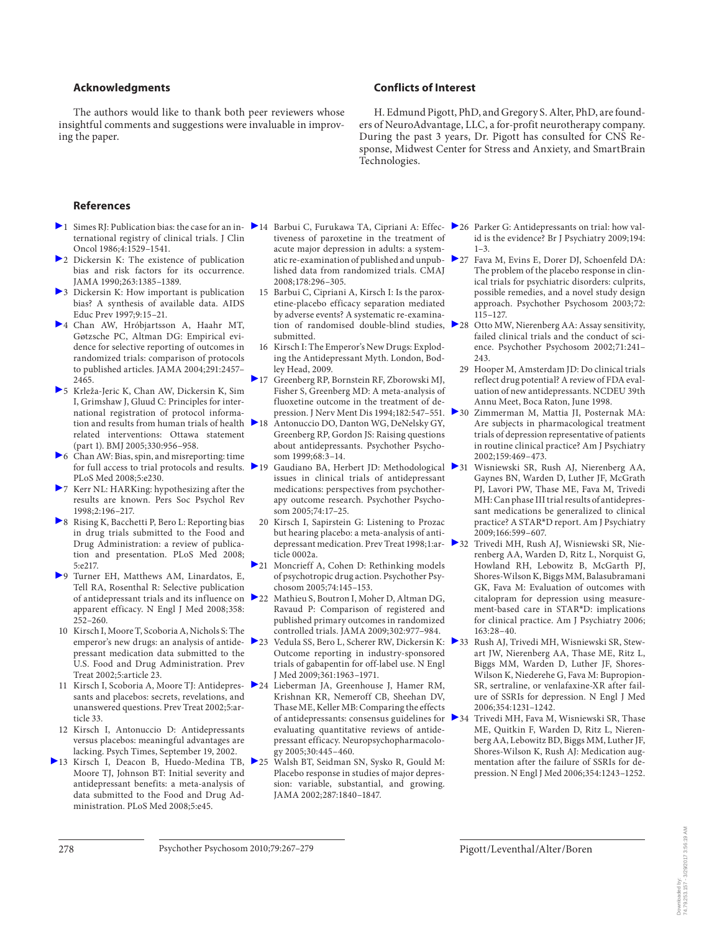#### **Acknowledgments**

 The authors would like to thank both peer reviewers whose insightful comments and suggestions were invaluable in improving the paper.

## **Conflicts of Interest**

 H. Edmund Pigott, PhD, and Gregory S. Alter, PhD, are founders of NeuroAdvantage, LLC, a for-profit neurotherapy company. During the past 3 years, Dr. Pigott has consulted for CNS Response, Midwest Center for Stress and Anxiety, and SmartBrain Technologies.

#### **References**

- ternational registry of clinical trials. J Clin Oncol 1986;4:1529–1541.
- 2 Dickersin K: The existence of publication bias and risk factors for its occurrence. JAMA 1990;263:1385–1389.
- 3 Dickersin K: How important is publication bias? A synthesis of available data. AIDS Educ Prev 1997;9:15–21.
- 4 Chan AW, Hróbjartsson A, Haahr MT, Gøtzsche PC, Altman DG: Empirical evidence for selective reporting of outcomes in randomized trials: comparison of protocols to published articles. JAMA 2004;291:2457– 2465.
- 5 Krleža-Jeric K, Chan AW, Dickersin K, Sim I, Grimshaw J, Gluud C: Principles for international registration of protocol information and results from human trials of health  $\geq 18$ related interventions: Ottawa statement (part 1). BMJ 2005;330:956–958.
- 6 Chan AW: Bias, spin, and misreporting: time PLoS Med 2008;5:e230.
- 7 Kerr NL: HARKing: hypothesizing after the results are known. Pers Soc Psychol Rev 1998;2:196–217.
- 8 Rising K, Bacchetti P, Bero L: Reporting bias in drug trials submitted to the Food and Drug Administration: a review of publication and presentation. PLoS Med 2008; 5:e217.
- 9 Turner EH, Matthews AM, Linardatos, E, Tell RA, Rosenthal R: Selective publication of antidepressant trials and its influence on apparent efficacy. N Engl J Med 2008;358: 252–260.
- 10 Kirsch I, Moore T, Scoboria A, Nichols S: The emperor's new drugs: an analysis of antidepressant medication data submitted to the U.S. Food and Drug Administration. Prev Treat 2002;5:article 23.
- sants and placebos: secrets, revelations, and unanswered questions. Prev Treat 2002;5:article 33.
- 12 Kirsch I, Antonuccio D: Antidepressants versus placebos: meaningful advantages are lacking. Psych Times, September 19, 2002.
- ▶ 13 Kirsch I, Deacon B, Huedo-Medina TB, ▶ 25 Moore TJ, Johnson BT: Initial severity and antidepressant benefits: a meta-analysis of data submitted to the Food and Drug Administration. PLoS Med 2008;5:e45.
- 1 Simes RJ: Publication bias: the case for an in- 14 Barbui C, Furukawa TA, Cipriani A: Effec- 26 Parker G: Antidepressants on trial: how valtiveness of paroxetine in the treatment of acute major depression in adults: a systemlished data from randomized trials. CMAJ 2008;178:296–305.
	- 15 Barbui C, Cipriani A, Kirsch I: Is the paroxetine-placebo efficacy separation mediated by adverse events? A systematic re-examinasubmitted.
	- 16 Kirsch I: The Emperor's New Drugs: Exploding the Antidepressant Myth. London, Bodley Head, 2009.
	- 17 Greenberg RP, Bornstein RF, Zborowski MJ, Fisher S, Greenberg MD: A meta-analysis of fluoxetine outcome in the treatment of depression. J Nerv Ment Dis 1994;182:547–551.
	- Antonuccio DO, Danton WG, DeNelsky GY, Greenberg RP, Gordon JS: Raising questions about antidepressants. Psychother Psychosom 1999;68:3–14.
	- for full access to trial protocols and results. 19 Gaudiano BA, Herbert JD: Methodological issues in clinical trials of antidepressant medications: perspectives from psychotherapy outcome research. Psychother Psychosom 2005;74:17–25.
		- 20 Kirsch I, Sapirstein G: Listening to Prozac but hearing placebo: a meta-analysis of antiticle 0002a.
		- 21 Moncrieff A, Cohen D: Rethinking models of psychotropic drug action. Psychother Psychosom 2005;74:145–153.
		- Mathieu S, Boutron I, Moher D, Altman DG, Ravaud P: Comparison of registered and published primary outcomes in randomized controlled trials. JAMA 2009;302:977–984.
		- 23 Vedula SS, Bero L, Scherer RW, Dickersin K: ▶33 Rush AJ, Trivedi MH, Wisniewski SR, Stew-Outcome reporting in industry-sponsored trials of gabapentin for off-label use. N Engl J Med 2009;361:1963–1971.
- 11 Kirsch I, Scoboria A, Moore TJ: Antidepres- 24 Lieberman JA, Greenhouse J, Hamer RM, Krishnan KR, Nemeroff CB, Sheehan DV, Thase ME, Keller MB: Comparing the effects evaluating quantitative reviews of antidepressant efficacy. Neuropsychopharmacology 2005;30:445–460.
	- 25 Walsh BT, Seidman SN, Sysko R, Gould M: Placebo response in studies of major depression: variable, substantial, and growing. JAMA 2002;287:1840–1847.
- id is the evidence? Br J Psychiatry 2009;194:  $1 - 3$
- atic re-examination of published and unpub- 27 Fava M, Evins E, Dorer DJ, Schoenfeld DA: The problem of the placebo response in clinical trials for psychiatric disorders: culprits, possible remedies, and a novel study design approach. Psychother Psychosom 2003;72: 115–127.
- tion of randomised double-blind studies, 28 Otto MW, Nierenberg AA: Assay sensitivity, failed clinical trials and the conduct of science. Psychother Psychosom 2002;71:241– 243.
	- 29 Hooper M, Amsterdam JD: Do clinical trials reflect drug potential? A review of FDA evaluation of new antidepressants. NCDEU 39th Annu Meet, Boca Raton, June 1998.
	- Zimmerman M, Mattia JI, Posternak MA: Are subjects in pharmacological treatment trials of depression representative of patients in routine clinical practice? Am J Psychiatry 2002;159:469–473.
	- 31 Wisniewski SR, Rush AJ, Nierenberg AA, Gaynes BN, Warden D, Luther JF, McGrath PJ, Lavori PW, Thase ME, Fava M, Trivedi MH: Can phase III trial results of antidepressant medications be generalized to clinical practice? A STAR\*D report. Am J Psychiatry 2009;166:599–607.
- depressant medication. Prev Treat 1998;1:ar- 32 Trivedi MH, Rush AJ, Wisniewski SR, Nierenberg AA, Warden D, Ritz L, Norquist G, Howland RH, Lebowitz B, McGarth PJ, Shores-Wilson K, Biggs MM, Balasubramani GK, Fava M: Evaluation of outcomes with citalopram for depression using measurement-based care in STAR\*D: implications for clinical practice. Am J Psychiatry 2006; 163:28–40.
	- art JW, Nierenberg AA, Thase ME, Ritz L, Biggs MM, Warden D, Luther JF, Shores-Wilson K, Niederehe G, Fava M: Bupropion-SR, sertraline, or venlafaxine-XR after failure of SSRIs for depression. N Engl J Med 2006;354:1231–1242.
- of antidepressants: consensus guidelines for 34 Trivedi MH, Fava M, Wisniewski SR, Thase ME, Quitkin F, Warden D, Ritz L, Nierenberg AA, Lebowitz BD, Biggs MM, Luther JF, Shores-Wilson K, Rush AJ: Medication augmentation after the failure of SSRIs for depression. N Engl J Med 2006;354:1243–1252.